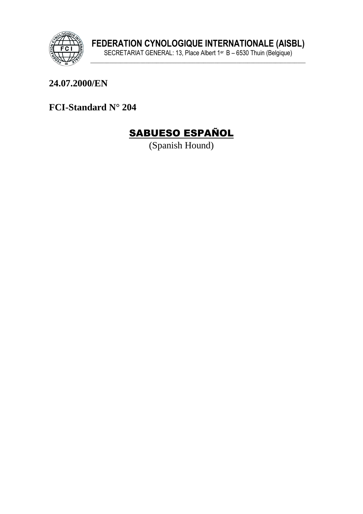

### 24.07.2000/EN

FCI-Standard N° 204

# **SABUESO ESPAÑOL**

(Spanish Hound)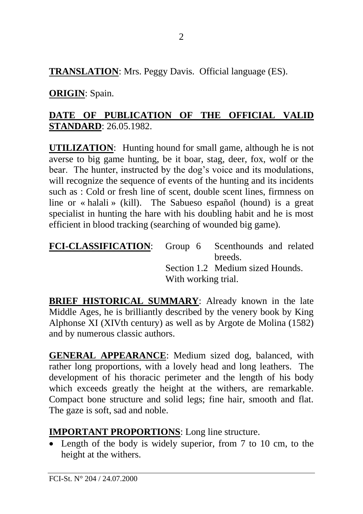**TRANSLATION**: Mrs. Peggy Davis. Official language (ES).

### **ORIGIN**: Spain.

## **DATE OF PUBLICATION OF THE OFFICIAL VALID STANDARD**: 26.05.1982.

**UTILIZATION**: Hunting hound for small game, although he is not averse to big game hunting, be it boar, stag, deer, fox, wolf or the bear. The hunter, instructed by the dog's voice and its modulations, will recognize the sequence of events of the hunting and its incidents such as : Cold or fresh line of scent, double scent lines, firmness on line or « halali » (kill). The Sabueso español (hound) is a great specialist in hunting the hare with his doubling habit and he is most efficient in blood tracking (searching of wounded big game).

| FCI-CLASSIFICATION: Group 6 Scenthounds and related |                     |                                  |
|-----------------------------------------------------|---------------------|----------------------------------|
|                                                     |                     | breeds.                          |
|                                                     |                     | Section 1.2 Medium sized Hounds. |
|                                                     | With working trial. |                                  |
|                                                     |                     |                                  |

**BRIEF HISTORICAL SUMMARY:** Already known in the late Middle Ages, he is brilliantly described by the venery book by King Alphonse XI (XIVth century) as well as by Argote de Molina (1582) and by numerous classic authors.

**GENERAL APPEARANCE**: Medium sized dog, balanced, with rather long proportions, with a lovely head and long leathers. The development of his thoracic perimeter and the length of his body which exceeds greatly the height at the withers, are remarkable. Compact bone structure and solid legs; fine hair, smooth and flat. The gaze is soft, sad and noble.

#### **IMPORTANT PROPORTIONS**: Long line structure.

• Length of the body is widely superior, from 7 to 10 cm, to the height at the withers.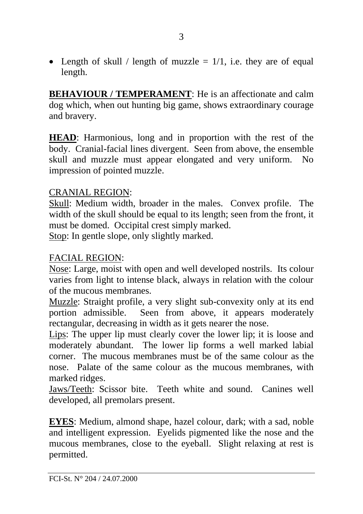• Length of skull / length of muzzle  $= 1/1$ , i.e. they are of equal length.

**BEHAVIOUR / TEMPERAMENT**: He is an affectionate and calm dog which, when out hunting big game, shows extraordinary courage and bravery.

**HEAD**: Harmonious, long and in proportion with the rest of the body. Cranial-facial lines divergent. Seen from above, the ensemble skull and muzzle must appear elongated and very uniform. No impression of pointed muzzle.

#### CRANIAL REGION:

Skull: Medium width, broader in the males. Convex profile. The width of the skull should be equal to its length; seen from the front, it must be domed. Occipital crest simply marked. Stop: In gentle slope, only slightly marked.

#### FACIAL REGION:

Nose: Large, moist with open and well developed nostrils. Its colour varies from light to intense black, always in relation with the colour of the mucous membranes.

Muzzle: Straight profile, a very slight sub-convexity only at its end portion admissible. Seen from above, it appears moderately rectangular, decreasing in width as it gets nearer the nose.

Lips: The upper lip must clearly cover the lower lip; it is loose and moderately abundant. The lower lip forms a well marked labial corner. The mucous membranes must be of the same colour as the nose. Palate of the same colour as the mucous membranes, with marked ridges.

Jaws/Teeth: Scissor bite. Teeth white and sound. Canines well developed, all premolars present.

**EYES**: Medium, almond shape, hazel colour, dark; with a sad, noble and intelligent expression. Eyelids pigmented like the nose and the mucous membranes, close to the eyeball. Slight relaxing at rest is permitted.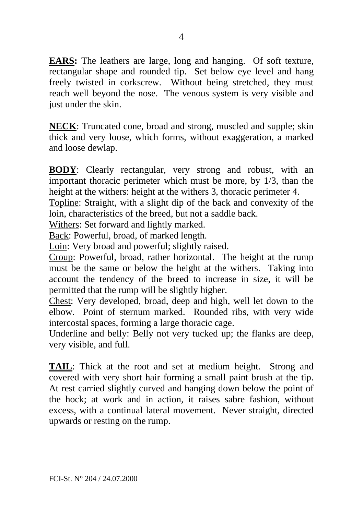**EARS:** The leathers are large, long and hanging. Of soft texture, rectangular shape and rounded tip. Set below eye level and hang freely twisted in corkscrew. Without being stretched, they must reach well beyond the nose. The venous system is very visible and just under the skin.

**NECK**: Truncated cone, broad and strong, muscled and supple; skin thick and very loose, which forms, without exaggeration, a marked and loose dewlap.

**BODY**: Clearly rectangular, very strong and robust, with an important thoracic perimeter which must be more, by 1/3, than the height at the withers: height at the withers 3, thoracic perimeter 4.

Topline: Straight, with a slight dip of the back and convexity of the loin, characteristics of the breed, but not a saddle back.

Withers: Set forward and lightly marked.

Back: Powerful, broad, of marked length.

Loin: Very broad and powerful; slightly raised.

Croup: Powerful, broad, rather horizontal. The height at the rump must be the same or below the height at the withers. Taking into account the tendency of the breed to increase in size, it will be permitted that the rump will be slightly higher.

Chest: Very developed, broad, deep and high, well let down to the elbow. Point of sternum marked. Rounded ribs, with very wide intercostal spaces, forming a large thoracic cage.

Underline and belly: Belly not very tucked up; the flanks are deep, very visible, and full.

**TAIL**: Thick at the root and set at medium height. Strong and covered with very short hair forming a small paint brush at the tip. At rest carried slightly curved and hanging down below the point of the hock; at work and in action, it raises sabre fashion, without excess, with a continual lateral movement. Never straight, directed upwards or resting on the rump.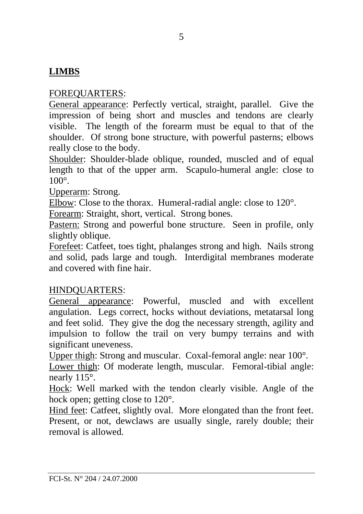### **LIMBS**

#### FOREQUARTERS:

General appearance: Perfectly vertical, straight, parallel. Give the impression of being short and muscles and tendons are clearly visible. The length of the forearm must be equal to that of the shoulder. Of strong bone structure, with powerful pasterns; elbows really close to the body.

Shoulder: Shoulder-blade oblique, rounded, muscled and of equal length to that of the upper arm. Scapulo-humeral angle: close to  $100^\circ$ 

Upperarm: Strong.

Elbow: Close to the thorax. Humeral-radial angle: close to 120°.

Forearm: Straight, short, vertical. Strong bones.

Pastern: Strong and powerful bone structure. Seen in profile, only slightly oblique.

Forefeet: Catfeet, toes tight, phalanges strong and high. Nails strong and solid, pads large and tough. Interdigital membranes moderate and covered with fine hair.

#### HINDQUARTERS:

General appearance: Powerful, muscled and with excellent angulation. Legs correct, hocks without deviations, metatarsal long and feet solid. They give the dog the necessary strength, agility and impulsion to follow the trail on very bumpy terrains and with significant uneveness.

Upper thigh: Strong and muscular. Coxal-femoral angle: near 100°.

Lower thigh: Of moderate length, muscular. Femoral-tibial angle: nearly 115°.

Hock: Well marked with the tendon clearly visible. Angle of the hock open; getting close to 120°.

Hind feet: Catfeet, slightly oval. More elongated than the front feet. Present, or not, dewclaws are usually single, rarely double; their removal is allowed.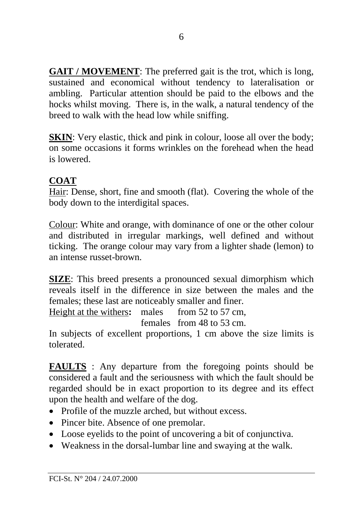**GAIT / MOVEMENT:** The preferred gait is the trot, which is long. sustained and economical without tendency to lateralisation or ambling. Particular attention should be paid to the elbows and the hocks whilst moving. There is, in the walk, a natural tendency of the breed to walk with the head low while sniffing.

**SKIN**: Very elastic, thick and pink in colour, loose all over the body; on some occasions it forms wrinkles on the forehead when the head is lowered.

### **COAT**

Hair: Dense, short, fine and smooth (flat). Covering the whole of the body down to the interdigital spaces.

Colour: White and orange, with dominance of one or the other colour and distributed in irregular markings, well defined and without ticking. The orange colour may vary from a lighter shade (lemon) to an intense russet-brown.

**SIZE**: This breed presents a pronounced sexual dimorphism which reveals itself in the difference in size between the males and the females; these last are noticeably smaller and finer.

Height at the withers: males from 52 to 57 cm.

females from 48 to 53 cm.

In subjects of excellent proportions, 1 cm above the size limits is tolerated.

**FAULTS** : Any departure from the foregoing points should be considered a fault and the seriousness with which the fault should be regarded should be in exact proportion to its degree and its effect upon the health and welfare of the dog.

- Profile of the muzzle arched, but without excess.
- Pincer bite. Absence of one premolar.
- Loose evelids to the point of uncovering a bit of conjunctiva.
- Weakness in the dorsal-lumbar line and swaying at the walk.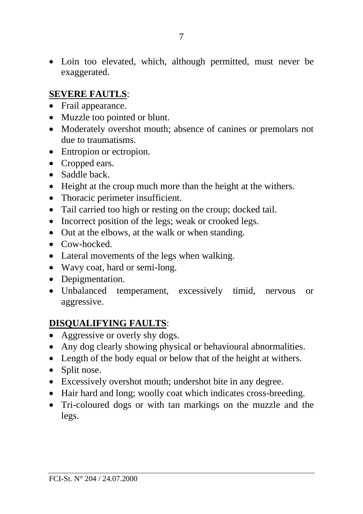• Loin too elevated, which, although permitted, must never be exaggerated.

#### **SEVERE FAUTLS**:

- Frail appearance.
- Muzzle too pointed or blunt.
- Moderately overshot mouth; absence of canines or premolars not due to traumatisms.
- Entropion or ectropion.
- Cropped ears.
- Saddle back.
- Height at the croup much more than the height at the withers.
- Thoracic perimeter insufficient.
- Tail carried too high or resting on the croup; docked tail.
- Incorrect position of the legs; weak or crooked legs.
- Out at the elbows, at the walk or when standing.
- Cow-hocked.
- Lateral movements of the legs when walking.
- Wavy coat, hard or semi-long.
- Depigmentation.
- Unbalanced temperament, excessively timid, nervous or aggressive.

### **DISQUALIFYING FAULTS**:

- Aggressive or overly shy dogs.
- Any dog clearly showing physical or behavioural abnormalities.
- Length of the body equal or below that of the height at withers.
- Split nose.
- Excessively overshot mouth; undershot bite in any degree.
- Hair hard and long; woolly coat which indicates cross-breeding.
- Tri-coloured dogs or with tan markings on the muzzle and the legs.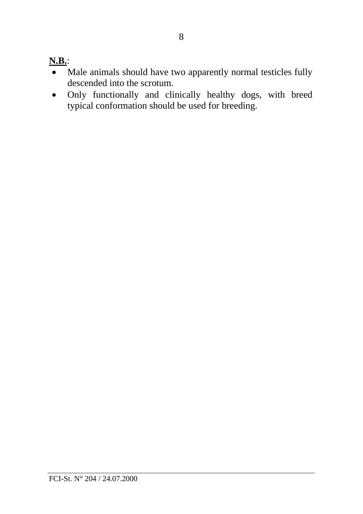## **N.B.**:

- Male animals should have two apparently normal testicles fully descended into the scrotum.
- Only functionally and clinically healthy dogs, with breed typical conformation should be used for breeding.